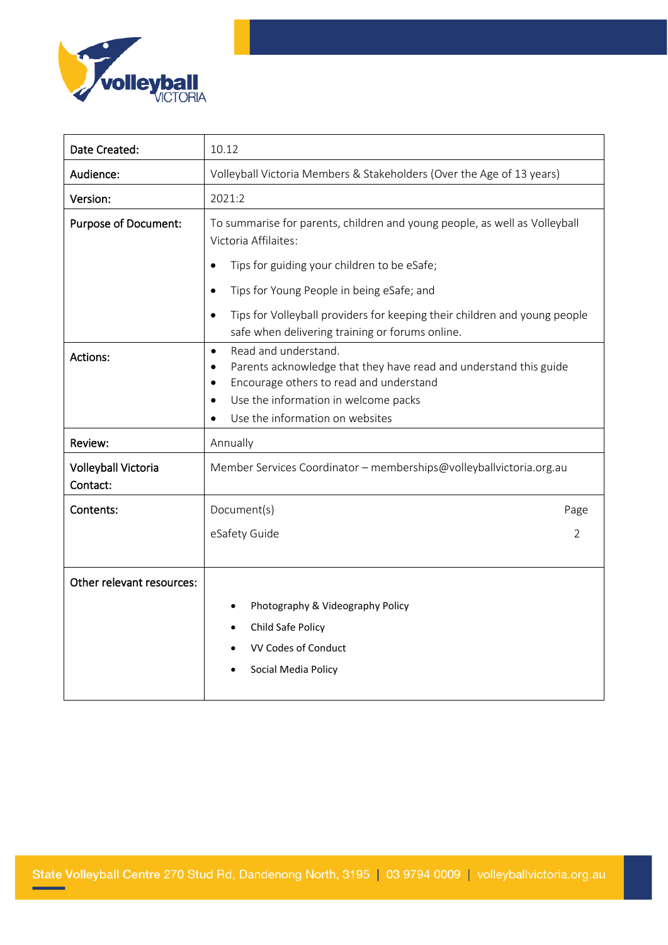

| Date Created:                   | 10.12                                                                                                                                                                                                                                                  |
|---------------------------------|--------------------------------------------------------------------------------------------------------------------------------------------------------------------------------------------------------------------------------------------------------|
| Audience:                       | Volleyball Victoria Members & Stakeholders (Over the Age of 13 years)                                                                                                                                                                                  |
| Version:                        | 2021:2                                                                                                                                                                                                                                                 |
| <b>Purpose of Document:</b>     | To summarise for parents, children and young people, as well as Volleyball<br>Victoria Affilaites:                                                                                                                                                     |
|                                 | Tips for guiding your children to be eSafe;<br>$\bullet$                                                                                                                                                                                               |
|                                 | Tips for Young People in being eSafe; and<br>$\bullet$                                                                                                                                                                                                 |
|                                 | Tips for Volleyball providers for keeping their children and young people<br>safe when delivering training or forums online.                                                                                                                           |
| Actions:                        | Read and understand.<br>$\bullet$<br>Parents acknowledge that they have read and understand this guide<br>$\bullet$<br>Encourage others to read and understand<br>$\bullet$<br>Use the information in welcome packs<br>Use the information on websites |
| Review:                         | Annually                                                                                                                                                                                                                                               |
| Volleyball Victoria<br>Contact: | Member Services Coordinator - memberships@volleyballvictoria.org.au                                                                                                                                                                                    |
| Contents:                       | Document(s)<br>Page                                                                                                                                                                                                                                    |
|                                 | eSafety Guide<br>2                                                                                                                                                                                                                                     |
| Other relevant resources:       |                                                                                                                                                                                                                                                        |
|                                 | Photography & Videography Policy<br>Child Safe Policy<br>VV Codes of Conduct<br>Social Media Policy                                                                                                                                                    |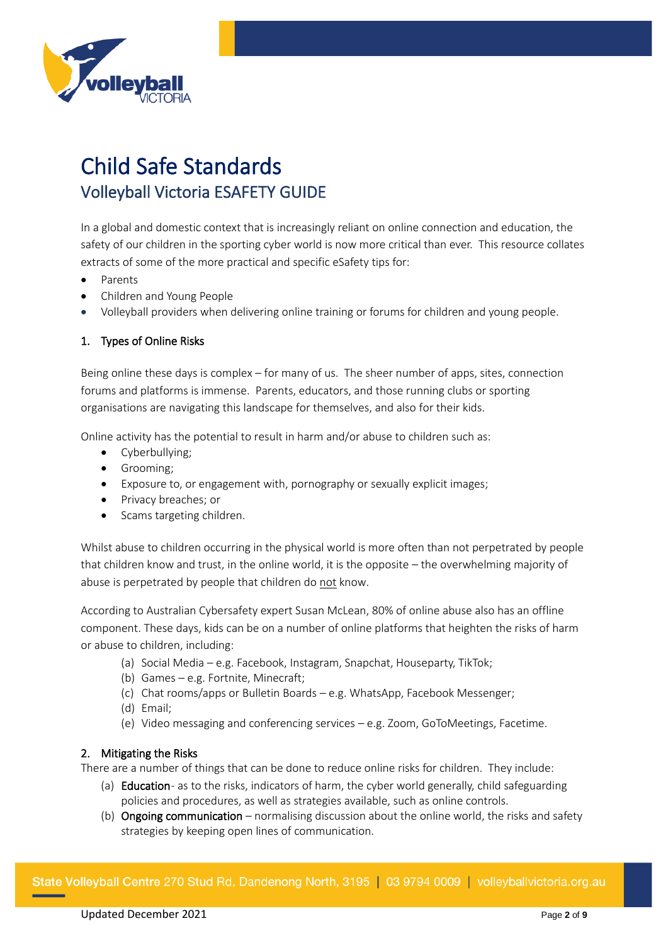

# Child Safe Standards Volleyball Victoria ESAFETY GUIDE

In a global and domestic context that is increasingly reliant on online connection and education, the safety of our children in the sporting cyber world is now more critical than ever. This resource collates extracts of some of the more practical and specific eSafety tips for:

- Parents
- Children and Young People
- Volleyball providers when delivering online training or forums for children and young people.

# 1. Types of Online Risks

Being online these days is complex – for many of us. The sheer number of apps, sites, connection forums and platforms is immense. Parents, educators, and those running clubs or sporting organisations are navigating this landscape for themselves, and also for their kids.

Online activity has the potential to result in harm and/or abuse to children such as:

- Cyberbullying;
- Grooming;
- Exposure to, or engagement with, pornography or sexually explicit images;
- Privacy breaches; or
- Scams targeting children.

Whilst abuse to children occurring in the physical world is more often than not perpetrated by people that children know and trust, in the online world, it is the opposite – the overwhelming majority of abuse is perpetrated by people that children do not know.

According to Australian Cybersafety expert Susan McLean, 80% of online abuse also has an offline component. These days, kids can be on a number of online platforms that heighten the risks of harm or abuse to children, including:

- (a) Social Media e.g. Facebook, Instagram, Snapchat, Houseparty, TikTok;
- (b) Games e.g. Fortnite, Minecraft;
- (c) Chat rooms/apps or Bulletin Boards e.g. WhatsApp, Facebook Messenger;
- (d) Email;
- (e) Video messaging and conferencing services e.g. Zoom, GoToMeetings, Facetime.

#### 2. Mitigating the Risks

There are a number of things that can be done to reduce online risks for children. They include:

- (a) Education- as to the risks, indicators of harm, the cyber world generally, child safeguarding policies and procedures, as well as strategies available, such as online controls.
- (b) Ongoing communication normalising discussion about the online world, the risks and safety strategies by keeping open lines of communication.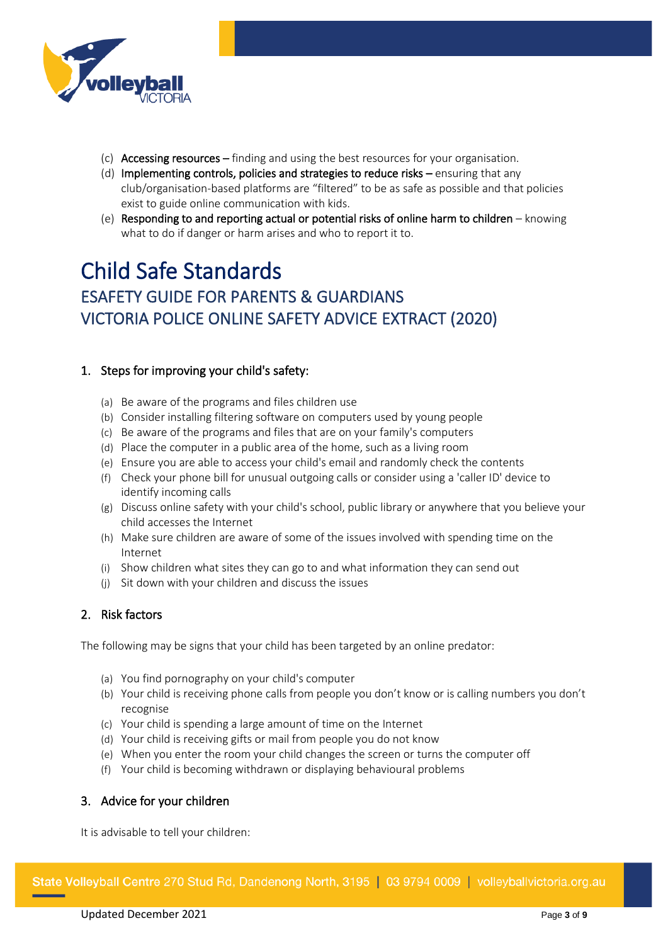

- (c) Accessing resources finding and using the best resources for your organisation.
- (d) Implementing controls, policies and strategies to reduce risks ensuring that any club/organisation-based platforms are "filtered" to be as safe as possible and that policies exist to guide online communication with kids.
- (e) Responding to and reporting actual or potential risks of online harm to children knowing what to do if danger or harm arises and who to report it to.

# Child Safe Standards ESAFETY GUIDE FOR PARENTS & GUARDIANS VICTORIA POLICE ONLINE SAFETY ADVICE EXTRACT (2020)

# 1. Steps for improving your child's safety:

- (a) Be aware of the programs and files children use
- (b) Consider installing filtering software on computers used by young people
- (c) Be aware of the programs and files that are on your family's computers
- (d) Place the computer in a public area of the home, such as a living room
- (e) Ensure you are able to access your child's email and randomly check the contents
- (f) Check your phone bill for unusual outgoing calls or consider using a 'caller ID' device to identify incoming calls
- (g) Discuss online safety with your child's school, public library or anywhere that you believe your child accesses the Internet
- (h) Make sure children are aware of some of the issues involved with spending time on the Internet
- (i) Show children what sites they can go to and what information they can send out
- (j) Sit down with your children and discuss the issues

# 2. Risk factors

The following may be signs that your child has been targeted by an online predator:

- (a) You find pornography on your child's computer
- (b) Your child is receiving phone calls from people you don't know or is calling numbers you don't recognise
- (c) Your child is spending a large amount of time on the Internet
- (d) Your child is receiving gifts or mail from people you do not know
- (e) When you enter the room your child changes the screen or turns the computer off
- (f) Your child is becoming withdrawn or displaying behavioural problems

# 3. Advice for your children

It is advisable to tell your children: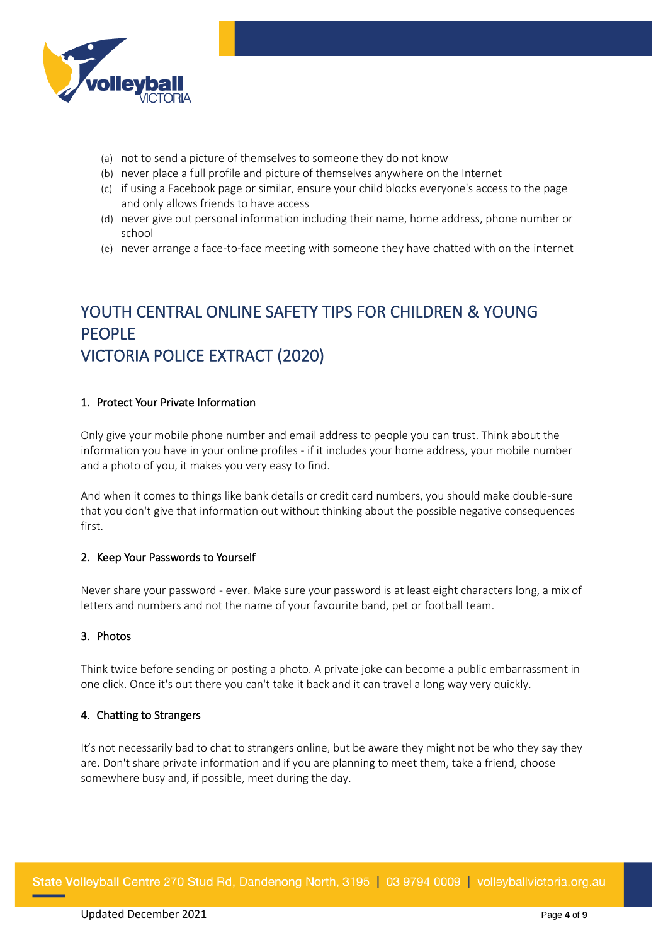

- (a) not to send a picture of themselves to someone they do not know
- (b) never place a full profile and picture of themselves anywhere on the Internet
- (c) if using a Facebook page or similar, ensure your child blocks everyone's access to the page and only allows friends to have access
- (d) never give out personal information including their name, home address, phone number or school
- (e) never arrange a face-to-face meeting with someone they have chatted with on the internet

# YOUTH CENTRAL ONLINE SAFETY TIPS FOR CHILDREN & YOUNG PEOPLE VICTORIA POLICE EXTRACT (2020)

#### 1. Protect Your Private Information

Only give your mobile phone number and email address to people you can trust. Think about the information you have in your online profiles - if it includes your home address, your mobile number and a photo of you, it makes you very easy to find.

And when it comes to things like bank details or credit card numbers, you should make double-sure that you don't give that information out without thinking about the possible negative consequences first.

#### 2. Keep Your Passwords to Yourself

Never share your password - ever. Make sure your password is at least eight characters long, a mix of letters and numbers and not the name of your favourite band, pet or football team.

#### 3. Photos

Think twice before sending or posting a photo. A private joke can become a public embarrassment in one click. Once it's out there you can't take it back and it can travel a long way very quickly.

#### 4. Chatting to Strangers

It's not necessarily bad to chat to strangers online, but be aware they might not be who they say they are. Don't share private information and if you are planning to meet them, take a friend, choose somewhere busy and, if possible, meet during the day.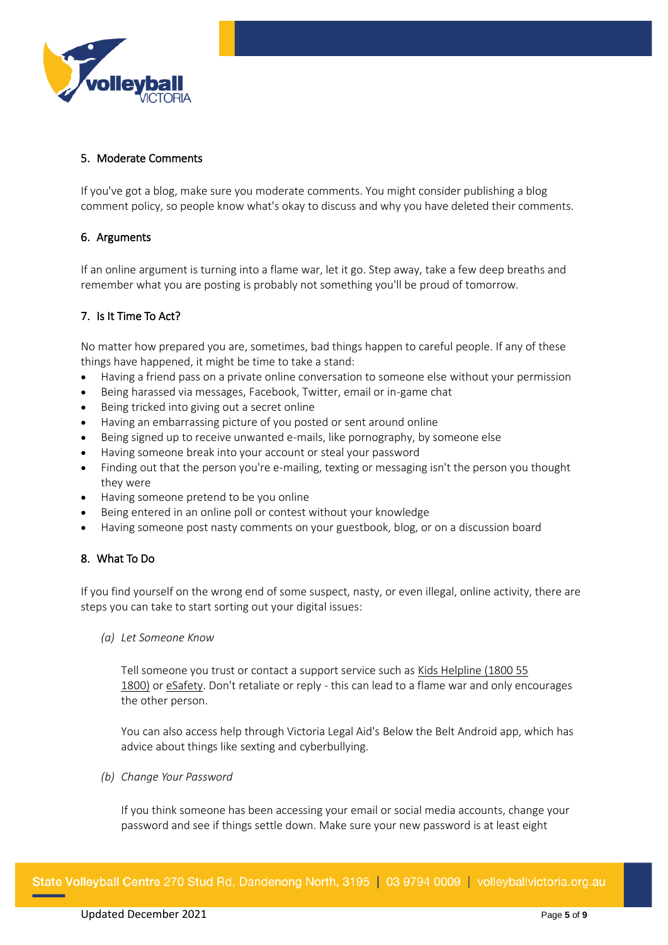

#### 5. Moderate Comments

If you've got a blog, make sure you moderate comments. You might consider publishing a blog comment policy, so people know what's okay to discuss and why you have deleted their comments.

#### 6. Arguments

If an online argument is turning into a flame war, let it go. Step away, take a few deep breaths and remember what you are posting is probably not something you'll be proud of tomorrow.

# 7. Is It Time To Act?

No matter how prepared you are, sometimes, bad things happen to careful people. If any of these things have happened, it might be time to take a stand:

- Having a friend pass on a private online conversation to someone else without your permission
- Being harassed via messages, Facebook, Twitter, email or in-game chat
- Being tricked into giving out a secret online
- Having an embarrassing picture of you posted or sent around online
- Being signed up to receive unwanted e-mails, like pornography, by someone else
- Having someone break into your account or steal your password
- Finding out that the person you're e-mailing, texting or messaging isn't the person you thought they were
- Having someone pretend to be you online
- Being entered in an online poll or contest without your knowledge
- Having someone post nasty comments on your guestbook, blog, or on a discussion board

# 8. What To Do

If you find yourself on the wrong end of some suspect, nasty, or even illegal, online activity, there are steps you can take to start sorting out your digital issues:

*(a) Let Someone Know*

Tell someone you trust or contact a support service such as [Kids Helpline \(1800 55](https://kidshelpline.com.au/)  [1800\)](https://kidshelpline.com.au/) or [eSafety.](https://esafety.gov.au/) Don't retaliate or reply - this can lead to a flame war and only encourages the other person.

You can also access help through Victoria Legal Aid's [Below the Belt A](http://www.legalaid.vic.gov.au/about-us/community-education-and-projects/below-belt)ndroid app, which has advice about things like sexting and cyberbullying.

*(b) Change Your Password*

If you think someone has been accessing your email or social media accounts, change your password and see if things settle down. Make sure your new password is at least eight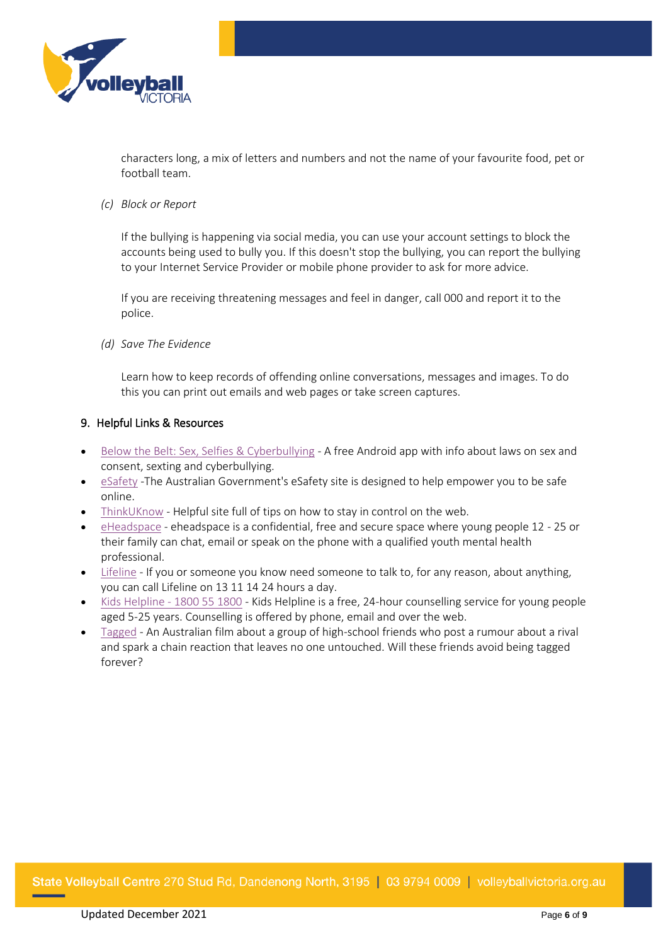

characters long, a mix of letters and numbers and not the name of your favourite food, pet or football team.

*(c) Block or Report*

If the bullying is happening via social media, you can use your account settings to block the accounts being used to bully you. If this doesn't stop the bullying, you can report the bullying to your Internet Service Provider or mobile phone provider to ask for more advice.

If you are receiving threatening messages and feel in danger, call 000 and report it to the police.

*(d) Save The Evidence*

Learn how to keep records of offending online conversations, messages and images. To do this you can print out emails and web pages or take screen captures.

#### 9. Helpful Links & Resources

- [Below the Belt: Sex, Selfies & Cyberbullying](http://www.legalaid.vic.gov.au/about-us/community-education-and-projects/below-belt) A free Android app with info about laws on sex and consent, sexting and cyberbullying.
- [eSafety](https://esafety.gov.au/) -The Australian Government's eSafety site is designed to help empower you to be safe online.
- [ThinkUKnow](http://thinkuknow.org.au/) Helpful site full of tips on how to stay in control on the web.
- [eHeadspace](https://www.eheadspace.org.au/) eheadspace is a confidential, free and secure space where young people 12 25 or their family can chat, email or speak on the phone with a qualified youth mental health professional.
- [Lifeline](https://www.lifeline.org.au/) If you or someone you know need someone to talk to, for any reason, about anything, you can call Lifeline on 13 11 14 24 hours a day.
- [Kids Helpline -](https://kidshelpline.com.au/) 1800 55 1800 Kids Helpline is a free, 24-hour counselling service for young people aged 5-25 years. Counselling is offered by phone, email and over the web.
- [Tagged](https://www.esafety.gov.au/education-resources/classroom-resources/tagged) An Australian film about a group of high-school friends who post a rumour about a rival and spark a chain reaction that leaves no one untouched. Will these friends avoid being tagged forever?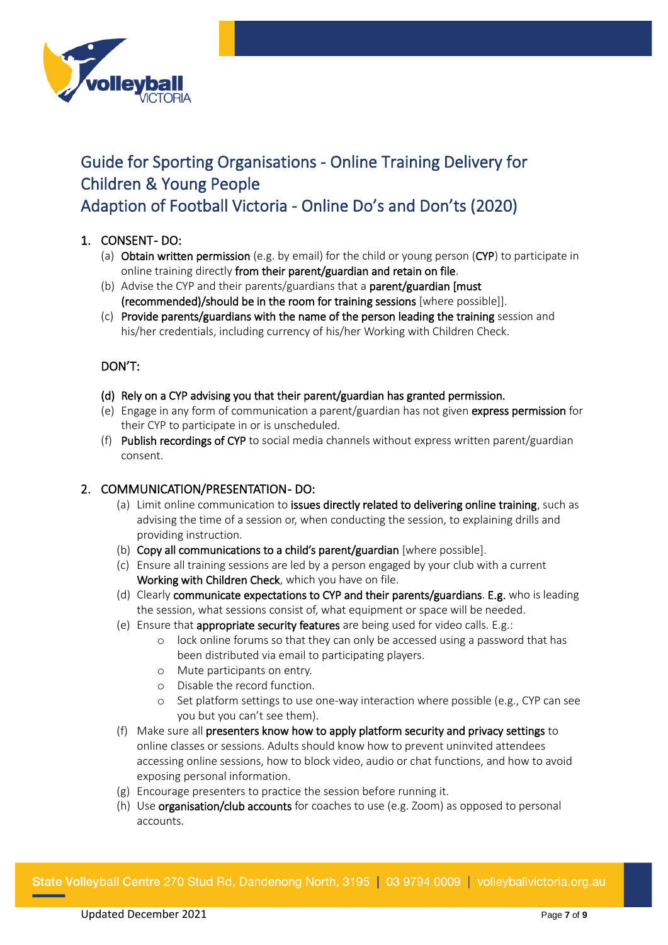

# Guide for Sporting Organisations - Online Training Delivery for Children & Young People Adaption of Football Victoria - Online Do's and Don'ts (2020)

# 1. CONSENT-DO:

- (a) Obtain written permission (e.g. by email) for the child or young person (CYP) to participate in online training directly from their parent/guardian and retain on file.
- (b) Advise the CYP and their parents/guardians that a parent/guardian [must (recommended)/should be in the room for training sessions [where possible]].
- (c) Provide parents/guardians with the name of the person leading the training session and his/her credentials, including currency of his/her Working with Children Check.

# DON'T:

- (d) Rely on a CYP advising you that their parent/guardian has granted permission.
- (e) Engage in any form of communication a parent/guardian has not given express permission for their CYP to participate in or is unscheduled.
- (f) Publish recordings of CYP to social media channels without express written parent/guardian consent.

# 2. COMMUNICATION/PRESENTATION-DO:

- (a) Limit online communication to issues directly related to delivering online training, such as advising the time of a session or, when conducting the session, to explaining drills and providing instruction.
- (b) Copy all communications to a child's parent/guardian [where possible].
- (c) Ensure all training sessions are led by a person engaged by your club with a current Working with Children Check, which you have on file.
- (d) Clearly communicate expectations to CYP and their parents/guardians. E.g. who is leading the session, what sessions consist of, what equipment or space will be needed.
- (e) Ensure that appropriate security features are being used for video calls. E.g.:
	- o lock online forums so that they can only be accessed using a password that has been distributed via email to participating players.
	- o Mute participants on entry.
	- o Disable the record function.
	- o Set platform settings to use one-way interaction where possible (e.g., CYP can see you but you can't see them).
- (f) Make sure all presenters know how to apply platform security and privacy settings to online classes or sessions. Adults should know how to prevent uninvited attendees accessing online sessions, how to block video, audio or chat functions, and how to avoid exposing personal information.
- (g) Encourage presenters to practice the session before running it.
- (h) Use organisation/club accounts for coaches to use (e.g. Zoom) as opposed to personal accounts.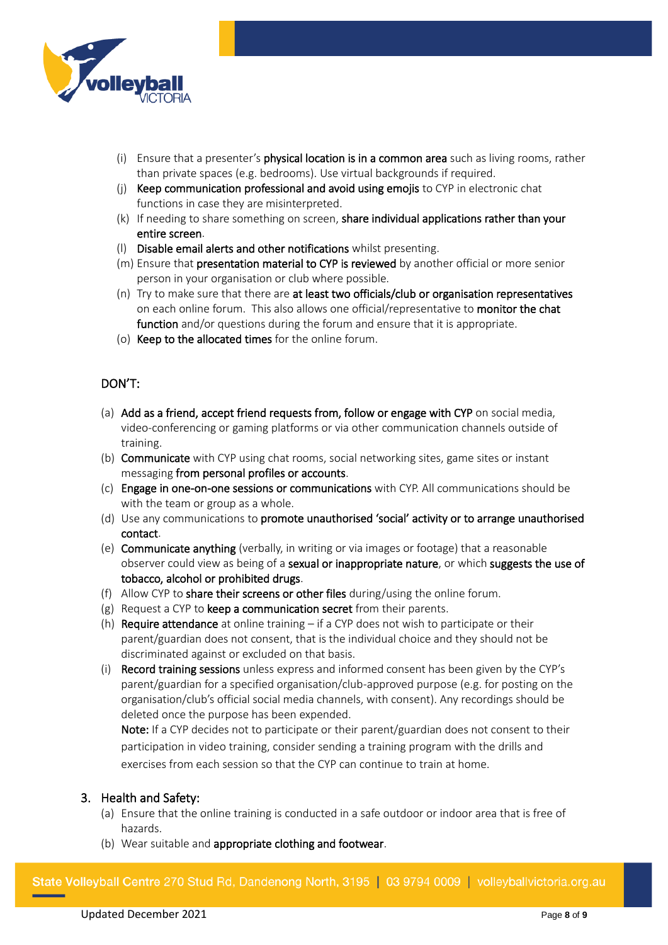

- (i) Ensure that a presenter's physical location is in a common area such as living rooms, rather than private spaces (e.g. bedrooms). Use virtual backgrounds if required.
- (j) Keep communication professional and avoid using emojis to CYP in electronic chat functions in case they are misinterpreted.
- (k) If needing to share something on screen, share individual applications rather than your entire screen.
- (l) Disable email alerts and other notifications whilst presenting.
- (m) Ensure that presentation material to CYP is reviewed by another official or more senior person in your organisation or club where possible.
- (n) Try to make sure that there are at least two officials/club or organisation representatives on each online forum. This also allows one official/representative to monitor the chat function and/or questions during the forum and ensure that it is appropriate.
- (o) Keep to the allocated times for the online forum.

# DON'T:

- (a) Add as a friend, accept friend requests from, follow or engage with CYP on social media, video-conferencing or gaming platforms or via other communication channels outside of training.
- (b) Communicate with CYP using chat rooms, social networking sites, game sites or instant messaging from personal profiles or accounts.
- (c) Engage in one-on-one sessions or communications with CYP. All communications should be with the team or group as a whole.
- (d) Use any communications to promote unauthorised 'social' activity or to arrange unauthorised contact.
- (e) Communicate anything (verbally, in writing or via images or footage) that a reasonable observer could view as being of a sexual or inappropriate nature, or which suggests the use of tobacco, alcohol or prohibited drugs.
- (f) Allow CYP to share their screens or other files during/using the online forum.
- (g) Request a CYP to keep a communication secret from their parents.
- (h) **Require attendance** at online training  $-$  if a CYP does not wish to participate or their parent/guardian does not consent, that is the individual choice and they should not be discriminated against or excluded on that basis.
- (i) Record training sessions unless express and informed consent has been given by the CYP's parent/guardian for a specified organisation/club-approved purpose (e.g. for posting on the organisation/club's official social media channels, with consent). Any recordings should be deleted once the purpose has been expended.

Note: If a CYP decides not to participate or their parent/guardian does not consent to their participation in video training, consider sending a training program with the drills and exercises from each session so that the CYP can continue to train at home.

# 3. Health and Safety:

- (a) Ensure that the online training is conducted in a safe outdoor or indoor area that is free of hazards.
- (b) Wear suitable and appropriate clothing and footwear.